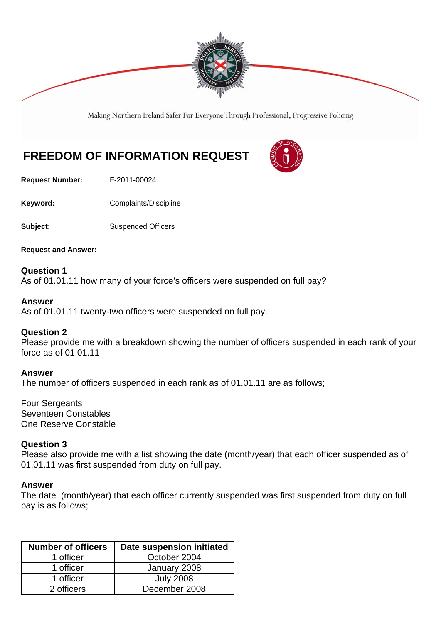

Making Northern Ireland Safer For Everyone Through Professional, Progressive Policing

# **FREEDOM OF INFORMATION REQUEST**

**Request Number:** F-2011-00024

Keyword: **Complaints/Discipline** 

**Subject:** Suspended Officers

**Request and Answer:** 

**Question 1**  As of 01.01.11 how many of your force's officers were suspended on full pay?

#### **Answer**

As of 01.01.11 twenty-two officers were suspended on full pay.

## **Question 2**

Please provide me with a breakdown showing the number of officers suspended in each rank of your force as of 01.01.11

#### **Answer**

The number of officers suspended in each rank as of 01.01.11 are as follows;

Four Sergeants Seventeen Constables One Reserve Constable

### **Question 3**

Please also provide me with a list showing the date (month/year) that each officer suspended as of 01.01.11 was first suspended from duty on full pay.

#### **Answer**

The date (month/year) that each officer currently suspended was first suspended from duty on full pay is as follows;

| <b>Number of officers</b> | Date suspension initiated |
|---------------------------|---------------------------|
| 1 officer                 | October 2004              |
| 1 officer                 | January 2008              |
| 1 officer                 | <b>July 2008</b>          |
| 2 officers                | December 2008             |